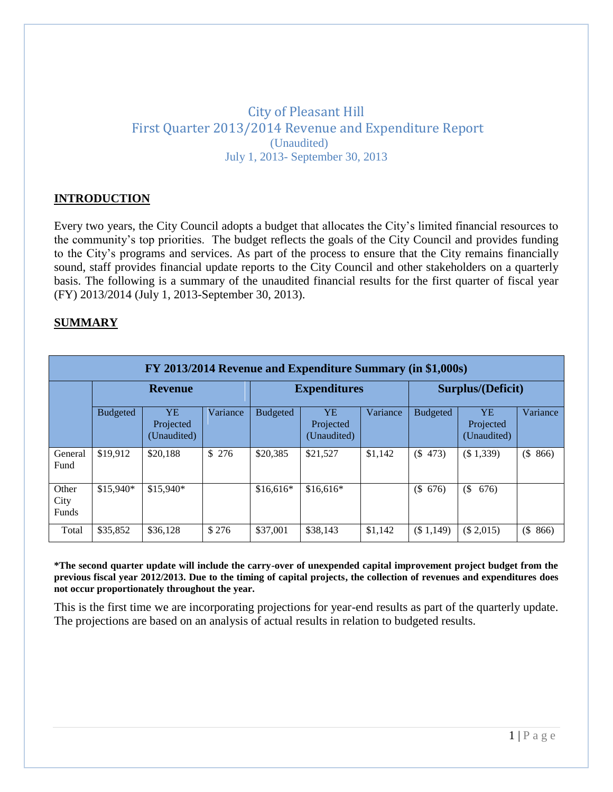# City of Pleasant Hill First Quarter 2013/2014 Revenue and Expenditure Report (Unaudited) July 1, 2013- September 30, 2013

### **INTRODUCTION**

Every two years, the City Council adopts a budget that allocates the City's limited financial resources to the community's top priorities. The budget reflects the goals of the City Council and provides funding to the City's programs and services. As part of the process to ensure that the City remains financially sound, staff provides financial update reports to the City Council and other stakeholders on a quarterly basis. The following is a summary of the unaudited financial results for the first quarter of fiscal year (FY) 2013/2014 (July 1, 2013-September 30, 2013).

#### **SUMMARY**

| FY 2013/2014 Revenue and Expenditure Summary (in \$1,000s) |                 |                                |          |                     |                                |          |                   |                                |             |
|------------------------------------------------------------|-----------------|--------------------------------|----------|---------------------|--------------------------------|----------|-------------------|--------------------------------|-------------|
|                                                            | <b>Revenue</b>  |                                |          | <b>Expenditures</b> |                                |          | Surplus/(Deficit) |                                |             |
|                                                            | <b>Budgeted</b> | YE<br>Projected<br>(Unaudited) | Variance | <b>Budgeted</b>     | YE<br>Projected<br>(Unaudited) | Variance | <b>Budgeted</b>   | YE<br>Projected<br>(Unaudited) | Variance    |
| General<br>Fund                                            | \$19,912        | \$20.188                       | \$276    | \$20,385            | \$21,527                       | \$1.142  | (<br>473)         | (\$1,339)                      | 866)<br>(\$ |
| Other<br>City<br>Funds                                     | \$15,940*       | \$15,940*                      |          | $$16.616*$          | $$16.616*$                     |          | $($ \$<br>676)    | (<br>676)                      |             |
| Total                                                      | \$35.852        | \$36,128                       | \$276    | \$37,001            | \$38,143                       | \$1.142  | (S1,149)          | (\$2,015)                      | (S<br>866)  |

**\*The second quarter update will include the carry-over of unexpended capital improvement project budget from the previous fiscal year 2012/2013. Due to the timing of capital projects, the collection of revenues and expenditures does not occur proportionately throughout the year.** 

This is the first time we are incorporating projections for year-end results as part of the quarterly update. The projections are based on an analysis of actual results in relation to budgeted results.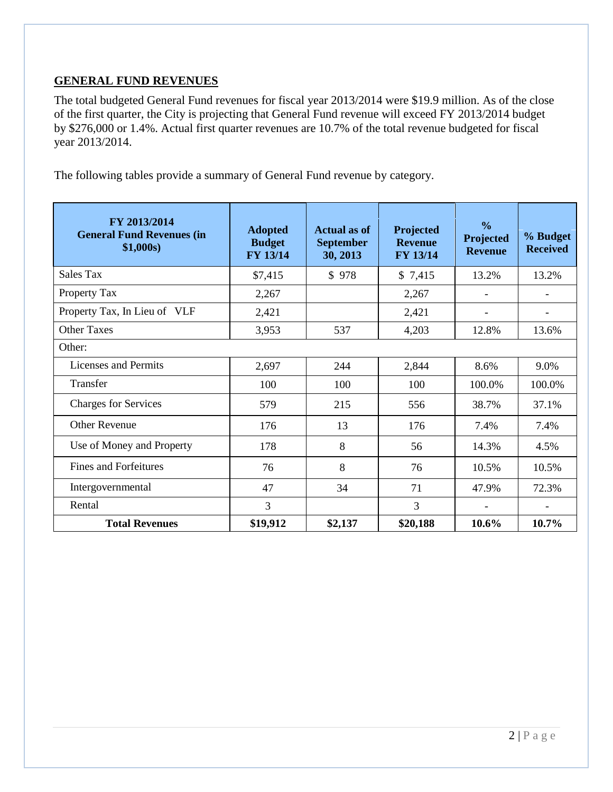## **GENERAL FUND REVENUES**

The total budgeted General Fund revenues for fiscal year 2013/2014 were \$19.9 million. As of the close of the first quarter, the City is projecting that General Fund revenue will exceed FY 2013/2014 budget by \$276,000 or 1.4%. Actual first quarter revenues are 10.7% of the total revenue budgeted for fiscal year 2013/2014.

The following tables provide a summary of General Fund revenue by category.

| FY 2013/2014<br><b>General Fund Revenues (in</b><br>\$1,000s) | <b>Adopted</b><br><b>Budget</b><br>FY 13/14 | <b>Actual</b> as of<br><b>September</b><br>30, 2013 | Projected<br><b>Revenue</b><br>FY 13/14 | $\frac{6}{6}$<br>Projected<br><b>Revenue</b> | % Budget<br><b>Received</b> |
|---------------------------------------------------------------|---------------------------------------------|-----------------------------------------------------|-----------------------------------------|----------------------------------------------|-----------------------------|
| Sales Tax                                                     | \$7,415                                     | \$978                                               | \$7,415                                 | 13.2%                                        | 13.2%                       |
| Property Tax                                                  | 2,267                                       |                                                     | 2,267                                   |                                              |                             |
| Property Tax, In Lieu of VLF                                  | 2,421                                       |                                                     | 2,421                                   |                                              | $\overline{\phantom{0}}$    |
| <b>Other Taxes</b>                                            | 3,953                                       | 537                                                 | 4,203                                   | 12.8%                                        | 13.6%                       |
| Other:                                                        |                                             |                                                     |                                         |                                              |                             |
| <b>Licenses and Permits</b>                                   | 2,697                                       | 244                                                 | 2,844                                   | 8.6%                                         | 9.0%                        |
| Transfer                                                      | 100                                         | 100                                                 | 100                                     | 100.0%                                       | 100.0%                      |
| <b>Charges for Services</b>                                   | 579                                         | 215                                                 | 556                                     | 38.7%                                        | 37.1%                       |
| <b>Other Revenue</b>                                          | 176                                         | 13                                                  | 176                                     | 7.4%                                         | 7.4%                        |
| Use of Money and Property                                     | 178                                         | 8                                                   | 56                                      | 14.3%                                        | 4.5%                        |
| <b>Fines and Forfeitures</b>                                  | 76                                          | 8                                                   | 76                                      | 10.5%                                        | 10.5%                       |
| Intergovernmental                                             | 47                                          | 34                                                  | 71                                      | 47.9%                                        | 72.3%                       |
| Rental                                                        | 3                                           |                                                     | 3                                       |                                              | $\qquad \qquad$             |
| <b>Total Revenues</b>                                         | \$19,912                                    | \$2,137                                             | \$20,188                                | 10.6%                                        | 10.7%                       |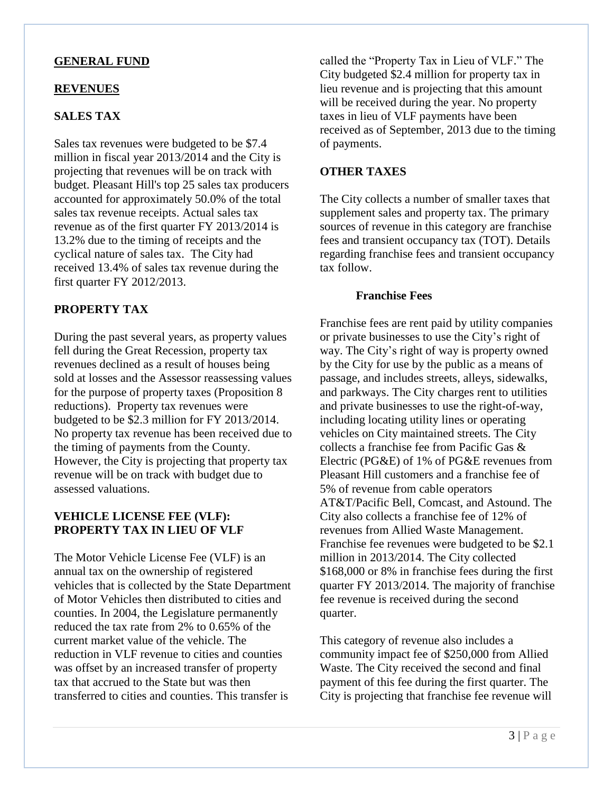### **GENERAL FUND**

#### **REVENUES**

# **SALES TAX**

Sales tax revenues were budgeted to be \$7.4 million in fiscal year 2013/2014 and the City is projecting that revenues will be on track with budget. Pleasant Hill's top 25 sales tax producers accounted for approximately 50.0% of the total sales tax revenue receipts. Actual sales tax revenue as of the first quarter FY 2013/2014 is 13.2% due to the timing of receipts and the cyclical nature of sales tax. The City had received 13.4% of sales tax revenue during the first quarter FY 2012/2013.

#### **PROPERTY TAX**

During the past several years, as property values fell during the Great Recession, property tax revenues declined as a result of houses being sold at losses and the Assessor reassessing values for the purpose of property taxes (Proposition 8 reductions). Property tax revenues were budgeted to be \$2.3 million for FY 2013/2014. No property tax revenue has been received due to the timing of payments from the County. However, the City is projecting that property tax revenue will be on track with budget due to assessed valuations.

### **VEHICLE LICENSE FEE (VLF): PROPERTY TAX IN LIEU OF VLF**

The Motor Vehicle License Fee (VLF) is an annual tax on the ownership of registered vehicles that is collected by the State Department of Motor Vehicles then distributed to cities and counties. In 2004, the Legislature permanently reduced the tax rate from 2% to 0.65% of the current market value of the vehicle. The reduction in VLF revenue to cities and counties was offset by an increased transfer of property tax that accrued to the State but was then transferred to cities and counties. This transfer is

called the "Property Tax in Lieu of VLF." The City budgeted \$2.4 million for property tax in lieu revenue and is projecting that this amount will be received during the year. No property taxes in lieu of VLF payments have been received as of September, 2013 due to the timing of payments.

### **OTHER TAXES**

The City collects a number of smaller taxes that supplement sales and property tax. The primary sources of revenue in this category are franchise fees and transient occupancy tax (TOT). Details regarding franchise fees and transient occupancy tax follow.

#### **Franchise Fees**

Franchise fees are rent paid by utility companies or private businesses to use the City's right of way. The City's right of way is property owned by the City for use by the public as a means of passage, and includes streets, alleys, sidewalks, and parkways. The City charges rent to utilities and private businesses to use the right-of-way, including locating utility lines or operating vehicles on City maintained streets. The City collects a franchise fee from Pacific Gas & Electric (PG&E) of 1% of PG&E revenues from Pleasant Hill customers and a franchise fee of 5% of revenue from cable operators AT&T/Pacific Bell, Comcast, and Astound. The City also collects a franchise fee of 12% of revenues from Allied Waste Management. Franchise fee revenues were budgeted to be \$2.1 million in 2013/2014. The City collected \$168,000 or 8% in franchise fees during the first quarter FY 2013/2014. The majority of franchise fee revenue is received during the second quarter.

This category of revenue also includes a community impact fee of \$250,000 from Allied Waste. The City received the second and final payment of this fee during the first quarter. The City is projecting that franchise fee revenue will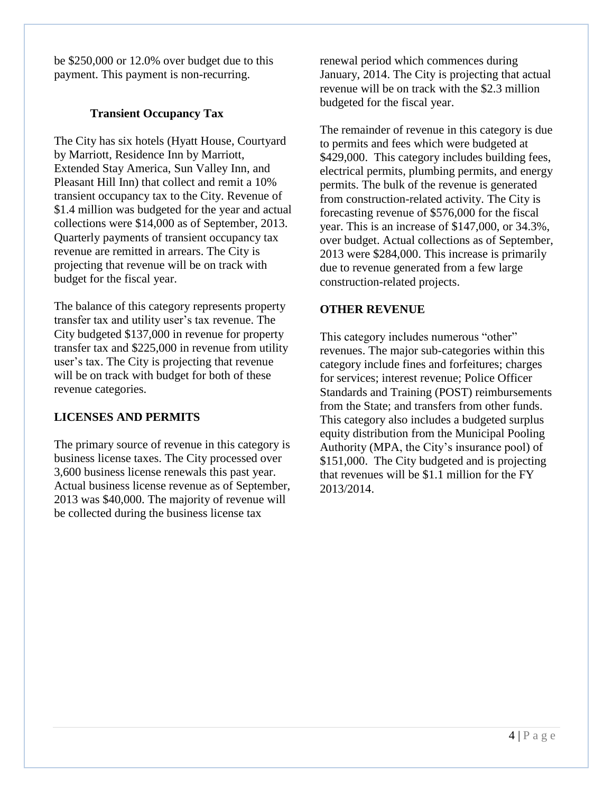be \$250,000 or 12.0% over budget due to this payment. This payment is non-recurring.

### **Transient Occupancy Tax**

The City has six hotels (Hyatt House, Courtyard by Marriott, Residence Inn by Marriott, Extended Stay America, Sun Valley Inn, and Pleasant Hill Inn) that collect and remit a 10% transient occupancy tax to the City. Revenue of \$1.4 million was budgeted for the year and actual collections were \$14,000 as of September, 2013. Quarterly payments of transient occupancy tax revenue are remitted in arrears. The City is projecting that revenue will be on track with budget for the fiscal year.

The balance of this category represents property transfer tax and utility user's tax revenue. The City budgeted \$137,000 in revenue for property transfer tax and \$225,000 in revenue from utility user's tax. The City is projecting that revenue will be on track with budget for both of these revenue categories.

## **LICENSES AND PERMITS**

The primary source of revenue in this category is business license taxes. The City processed over 3,600 business license renewals this past year. Actual business license revenue as of September, 2013 was \$40,000. The majority of revenue will be collected during the business license tax

renewal period which commences during January, 2014. The City is projecting that actual revenue will be on track with the \$2.3 million budgeted for the fiscal year.

The remainder of revenue in this category is due to permits and fees which were budgeted at \$429,000. This category includes building fees, electrical permits, plumbing permits, and energy permits. The bulk of the revenue is generated from construction-related activity. The City is forecasting revenue of \$576,000 for the fiscal year. This is an increase of \$147,000, or 34.3%, over budget. Actual collections as of September, 2013 were \$284,000. This increase is primarily due to revenue generated from a few large construction-related projects.

### **OTHER REVENUE**

This category includes numerous "other" revenues. The major sub-categories within this category include fines and forfeitures; charges for services; interest revenue; Police Officer Standards and Training (POST) reimbursements from the State; and transfers from other funds. This category also includes a budgeted surplus equity distribution from the Municipal Pooling Authority (MPA, the City's insurance pool) of \$151,000. The City budgeted and is projecting that revenues will be \$1.1 million for the FY 2013/2014.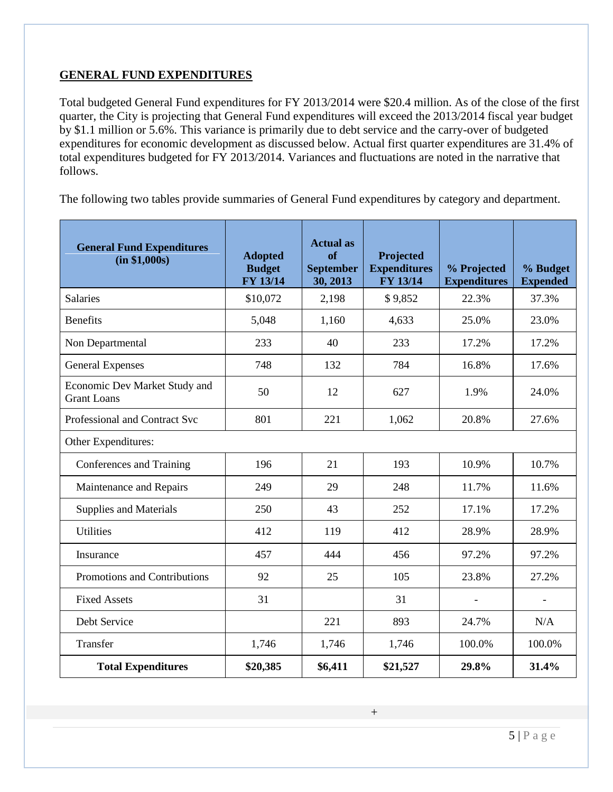## **GENERAL FUND EXPENDITURES**

Total budgeted General Fund expenditures for FY 2013/2014 were \$20.4 million. As of the close of the first quarter, the City is projecting that General Fund expenditures will exceed the 2013/2014 fiscal year budget by \$1.1 million or 5.6%. This variance is primarily due to debt service and the carry-over of budgeted expenditures for economic development as discussed below. Actual first quarter expenditures are 31.4% of total expenditures budgeted for FY 2013/2014. Variances and fluctuations are noted in the narrative that follows.

The following two tables provide summaries of General Fund expenditures by category and department.

| <b>General Fund Expenditures</b><br>(in \$1,000s)   | <b>Adopted</b><br><b>Budget</b><br>FY 13/14 | <b>Actual</b> as<br>of<br><b>September</b><br>30, 2013 | Projected<br><b>Expenditures</b><br>FY 13/14 | % Projected<br><b>Expenditures</b> | % Budget<br><b>Expended</b> |
|-----------------------------------------------------|---------------------------------------------|--------------------------------------------------------|----------------------------------------------|------------------------------------|-----------------------------|
| <b>Salaries</b>                                     | \$10,072                                    | 2,198                                                  | \$9,852                                      | 22.3%                              | 37.3%                       |
| <b>Benefits</b>                                     | 5,048                                       | 1,160                                                  | 4,633                                        | 25.0%                              | 23.0%                       |
| Non Departmental                                    | 233                                         | 40                                                     | 233                                          | 17.2%                              | 17.2%                       |
| <b>General Expenses</b>                             | 748                                         | 132                                                    | 784                                          | 16.8%                              | 17.6%                       |
| Economic Dev Market Study and<br><b>Grant Loans</b> | 50                                          | 12                                                     | 627                                          | 1.9%                               | 24.0%                       |
| Professional and Contract Svc                       | 801                                         | 221                                                    | 1,062                                        | 20.8%                              | 27.6%                       |
| Other Expenditures:                                 |                                             |                                                        |                                              |                                    |                             |
| Conferences and Training                            | 196                                         | 21                                                     | 193                                          | 10.9%                              | 10.7%                       |
| Maintenance and Repairs                             | 249                                         | 29                                                     | 248                                          | 11.7%                              | 11.6%                       |
| <b>Supplies and Materials</b>                       | 250                                         | 43                                                     | 252                                          | 17.1%                              | 17.2%                       |
| <b>Utilities</b>                                    | 412                                         | 119                                                    | 412                                          | 28.9%                              | 28.9%                       |
| Insurance                                           | 457                                         | 444                                                    | 456                                          | 97.2%                              | 97.2%                       |
| Promotions and Contributions                        | 92                                          | 25                                                     | 105                                          | 23.8%                              | 27.2%                       |
| <b>Fixed Assets</b>                                 | 31                                          |                                                        | 31                                           |                                    |                             |
| Debt Service                                        |                                             | 221                                                    | 893                                          | 24.7%                              | N/A                         |
| Transfer                                            | 1,746                                       | 1,746                                                  | 1,746                                        | 100.0%                             | 100.0%                      |
| <b>Total Expenditures</b>                           | \$20,385                                    | \$6,411                                                | \$21,527                                     | 29.8%                              | 31.4%                       |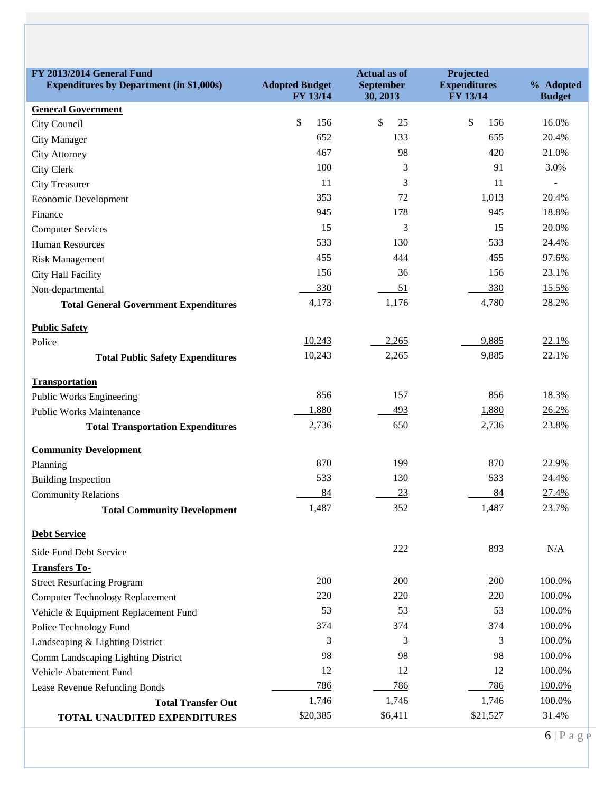| FY 2013/2014 General Fund<br><b>Expenditures by Department (in \$1,000s)</b> | <b>Adopted Budget</b> | <b>Actual as of</b>          | Projected<br><b>Expenditures</b> | % Adopted     |
|------------------------------------------------------------------------------|-----------------------|------------------------------|----------------------------------|---------------|
|                                                                              | FY 13/14              | <b>September</b><br>30, 2013 | FY 13/14                         | <b>Budget</b> |
| <b>General Government</b>                                                    |                       |                              |                                  |               |
| City Council                                                                 | \$<br>156             | \$<br>25                     | \$<br>156                        | 16.0%         |
| <b>City Manager</b>                                                          | 652                   | 133                          | 655                              | 20.4%         |
| <b>City Attorney</b>                                                         | 467                   | 98                           | 420                              | 21.0%         |
| <b>City Clerk</b>                                                            | 100                   | 3                            | 91                               | 3.0%          |
| <b>City Treasurer</b>                                                        | 11                    | 3                            | 11                               |               |
| Economic Development                                                         | 353                   | 72                           | 1,013                            | 20.4%         |
| Finance                                                                      | 945                   | 178                          | 945                              | 18.8%         |
| <b>Computer Services</b>                                                     | 15                    | 3                            | 15                               | 20.0%         |
| <b>Human Resources</b>                                                       | 533                   | 130                          | 533                              | 24.4%         |
| <b>Risk Management</b>                                                       | 455                   | 444                          | 455                              | 97.6%         |
| City Hall Facility                                                           | 156                   | 36                           | 156                              | 23.1%         |
| Non-departmental                                                             | 330                   | 51                           | 330                              | 15.5%         |
| <b>Total General Government Expenditures</b>                                 | 4,173                 | 1,176                        | 4,780                            | 28.2%         |
| <b>Public Safety</b>                                                         |                       |                              |                                  |               |
| Police                                                                       | 10,243                | 2,265                        | 9,885                            | 22.1%         |
| <b>Total Public Safety Expenditures</b>                                      | 10,243                | 2,265                        | 9,885                            | 22.1%         |
| <b>Transportation</b>                                                        |                       |                              |                                  |               |
| <b>Public Works Engineering</b>                                              | 856                   | 157                          | 856                              | 18.3%         |
| <b>Public Works Maintenance</b>                                              | 1,880                 | 493                          | 1,880                            | 26.2%         |
| <b>Total Transportation Expenditures</b>                                     | 2,736                 | 650                          | 2,736                            | 23.8%         |
| <b>Community Development</b>                                                 |                       |                              |                                  |               |
| Planning                                                                     | 870                   | 199                          | 870                              | 22.9%         |
| <b>Building Inspection</b>                                                   | 533                   | 130                          | 533                              | 24.4%         |
| <b>Community Relations</b>                                                   | 84                    | 23                           | 84                               | 27.4%         |
| <b>Total Community Development</b>                                           | 1,487                 | 352                          | 1,487                            | 23.7%         |
| <b>Debt Service</b>                                                          |                       |                              |                                  |               |
| Side Fund Debt Service                                                       |                       | 222                          | 893                              | N/A           |
| <b>Transfers To-</b>                                                         |                       |                              |                                  |               |
| <b>Street Resurfacing Program</b>                                            | 200                   | 200                          | 200                              | 100.0%        |
| <b>Computer Technology Replacement</b>                                       | 220                   | 220                          | 220                              | 100.0%        |
| Vehicle & Equipment Replacement Fund                                         | 53                    | 53                           | 53                               | 100.0%        |
| Police Technology Fund                                                       | 374                   | 374                          | 374                              | 100.0%        |
| Landscaping & Lighting District                                              | 3                     | 3                            | 3                                | 100.0%        |
| Comm Landscaping Lighting District                                           | 98                    | 98                           | 98                               | 100.0%        |
| Vehicle Abatement Fund                                                       | 12                    | 12                           | 12                               | 100.0%        |
| Lease Revenue Refunding Bonds                                                | 786                   | 786                          | 786                              | 100.0%        |
| <b>Total Transfer Out</b>                                                    | 1,746                 | 1,746                        | 1,746                            | 100.0%        |
| TOTAL UNAUDITED EXPENDITURES                                                 | \$20,385              | \$6,411                      | \$21,527                         | 31.4%         |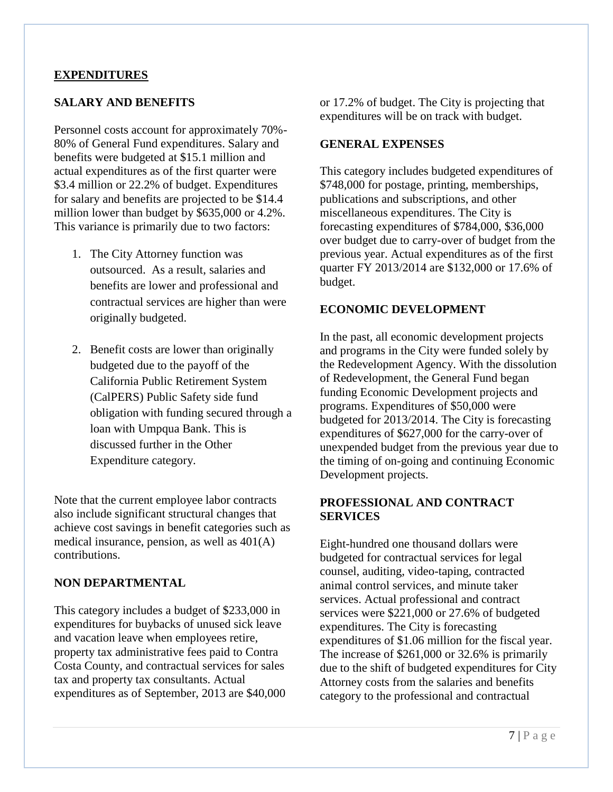## **EXPENDITURES**

### **SALARY AND BENEFITS**

Personnel costs account for approximately 70%- 80% of General Fund expenditures. Salary and benefits were budgeted at \$15.1 million and actual expenditures as of the first quarter were \$3.4 million or 22.2% of budget. Expenditures for salary and benefits are projected to be \$14.4 million lower than budget by \$635,000 or 4.2%. This variance is primarily due to two factors:

- 1. The City Attorney function was outsourced. As a result, salaries and benefits are lower and professional and contractual services are higher than were originally budgeted.
- 2. Benefit costs are lower than originally budgeted due to the payoff of the California Public Retirement System (CalPERS) Public Safety side fund obligation with funding secured through a loan with Umpqua Bank. This is discussed further in the Other Expenditure category.

Note that the current employee labor contracts also include significant structural changes that achieve cost savings in benefit categories such as medical insurance, pension, as well as 401(A) contributions.

### **NON DEPARTMENTAL**

This category includes a budget of \$233,000 in expenditures for buybacks of unused sick leave and vacation leave when employees retire, property tax administrative fees paid to Contra Costa County, and contractual services for sales tax and property tax consultants. Actual expenditures as of September, 2013 are \$40,000

or 17.2% of budget. The City is projecting that expenditures will be on track with budget.

#### **GENERAL EXPENSES**

This category includes budgeted expenditures of \$748,000 for postage, printing, memberships, publications and subscriptions, and other miscellaneous expenditures. The City is forecasting expenditures of \$784,000, \$36,000 over budget due to carry-over of budget from the previous year. Actual expenditures as of the first quarter FY 2013/2014 are \$132,000 or 17.6% of budget.

#### **ECONOMIC DEVELOPMENT**

In the past, all economic development projects and programs in the City were funded solely by the Redevelopment Agency. With the dissolution of Redevelopment, the General Fund began funding Economic Development projects and programs. Expenditures of \$50,000 were budgeted for 2013/2014. The City is forecasting expenditures of \$627,000 for the carry-over of unexpended budget from the previous year due to the timing of on-going and continuing Economic Development projects.

### **PROFESSIONAL AND CONTRACT SERVICES**

Eight-hundred one thousand dollars were budgeted for contractual services for legal counsel, auditing, video-taping, contracted animal control services, and minute taker services. Actual professional and contract services were \$221,000 or 27.6% of budgeted expenditures. The City is forecasting expenditures of \$1.06 million for the fiscal year. The increase of \$261,000 or 32.6% is primarily due to the shift of budgeted expenditures for City Attorney costs from the salaries and benefits category to the professional and contractual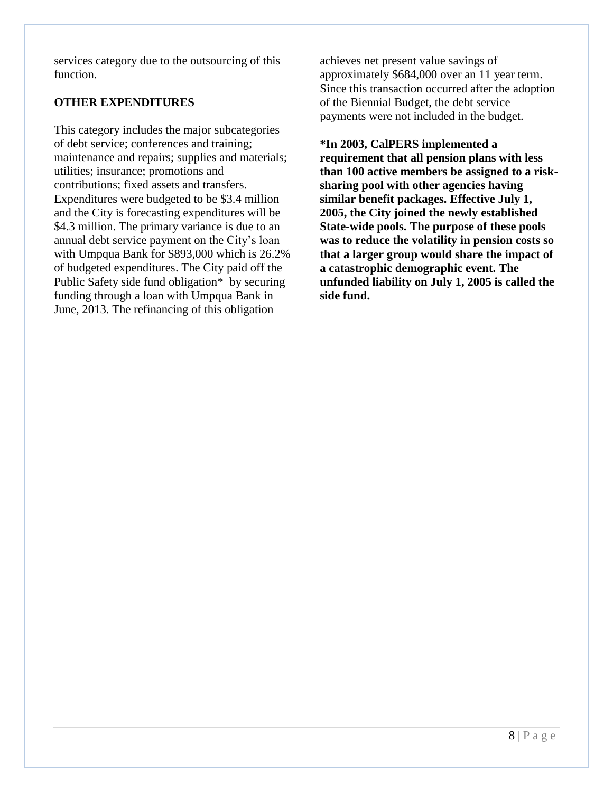services category due to the outsourcing of this function.

## **OTHER EXPENDITURES**

This category includes the major subcategories of debt service; conferences and training; maintenance and repairs; supplies and materials; utilities; insurance; promotions and contributions; fixed assets and transfers. Expenditures were budgeted to be \$3.4 million and the City is forecasting expenditures will be \$4.3 million. The primary variance is due to an annual debt service payment on the City's loan with Umpqua Bank for \$893,000 which is 26.2% of budgeted expenditures. The City paid off the Public Safety side fund obligation\* by securing funding through a loan with Umpqua Bank in June, 2013. The refinancing of this obligation

achieves net present value savings of approximately \$684,000 over an 11 year term. Since this transaction occurred after the adoption of the Biennial Budget, the debt service payments were not included in the budget.

**\*In 2003, CalPERS implemented a requirement that all pension plans with less than 100 active members be assigned to a risksharing pool with other agencies having similar benefit packages. Effective July 1, 2005, the City joined the newly established State-wide pools. The purpose of these pools was to reduce the volatility in pension costs so that a larger group would share the impact of a catastrophic demographic event. The unfunded liability on July 1, 2005 is called the side fund.**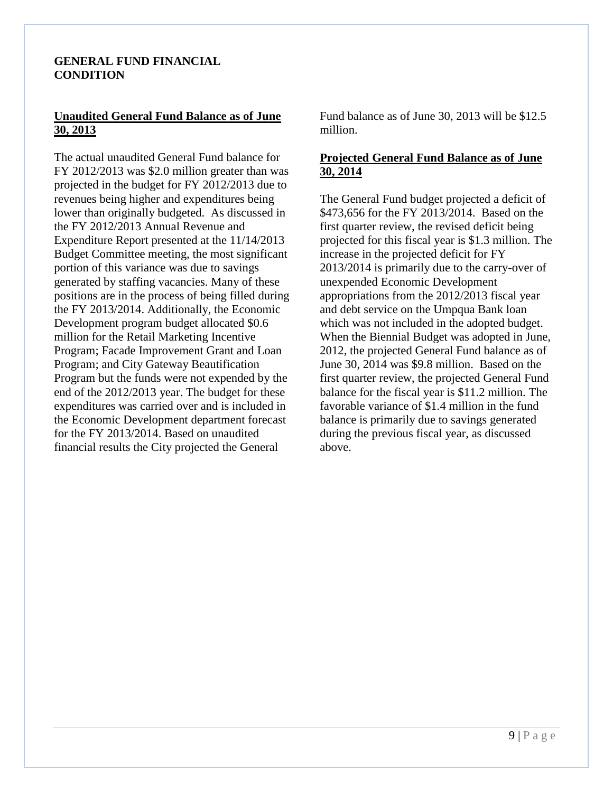#### **GENERAL FUND FINANCIAL CONDITION**

## **Unaudited General Fund Balance as of June 30, 2013**

The actual unaudited General Fund balance for FY 2012/2013 was \$2.0 million greater than was projected in the budget for FY 2012/2013 due to revenues being higher and expenditures being lower than originally budgeted. As discussed in the FY 2012/2013 Annual Revenue and Expenditure Report presented at the 11/14/2013 Budget Committee meeting, the most significant portion of this variance was due to savings generated by staffing vacancies. Many of these positions are in the process of being filled during the FY 2013/2014. Additionally, the Economic Development program budget allocated \$0.6 million for the Retail Marketing Incentive Program; Facade Improvement Grant and Loan Program; and City Gateway Beautification Program but the funds were not expended by the end of the 2012/2013 year. The budget for these expenditures was carried over and is included in the Economic Development department forecast for the FY 2013/2014. Based on unaudited financial results the City projected the General

Fund balance as of June 30, 2013 will be \$12.5 million.

### **Projected General Fund Balance as of June 30, 2014**

The General Fund budget projected a deficit of \$473,656 for the FY 2013/2014. Based on the first quarter review, the revised deficit being projected for this fiscal year is \$1.3 million. The increase in the projected deficit for FY 2013/2014 is primarily due to the carry-over of unexpended Economic Development appropriations from the 2012/2013 fiscal year and debt service on the Umpqua Bank loan which was not included in the adopted budget. When the Biennial Budget was adopted in June, 2012, the projected General Fund balance as of June 30, 2014 was \$9.8 million. Based on the first quarter review, the projected General Fund balance for the fiscal year is \$11.2 million. The favorable variance of \$1.4 million in the fund balance is primarily due to savings generated during the previous fiscal year, as discussed above.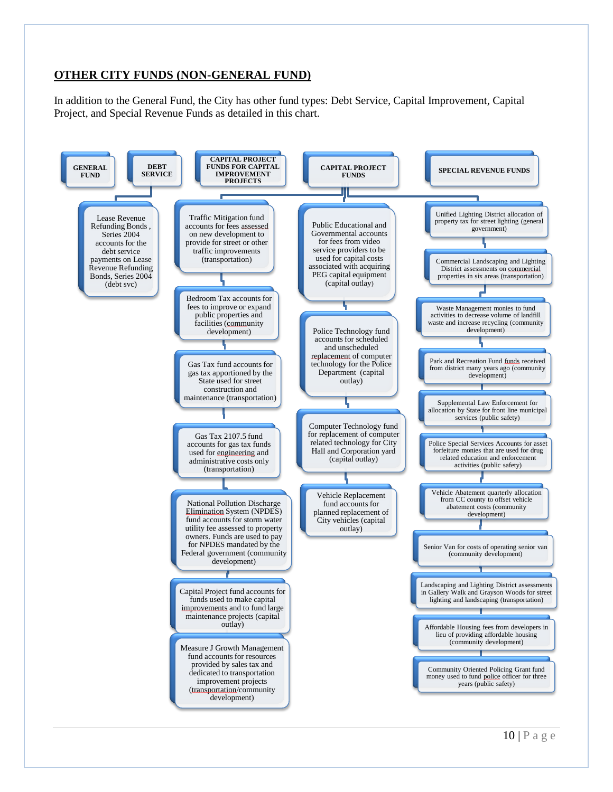## **OTHER CITY FUNDS (NON-GENERAL FUND)**

In addition to the General Fund, the City has other fund types: Debt Service, Capital Improvement, Capital Project, and Special Revenue Funds as detailed in this chart.

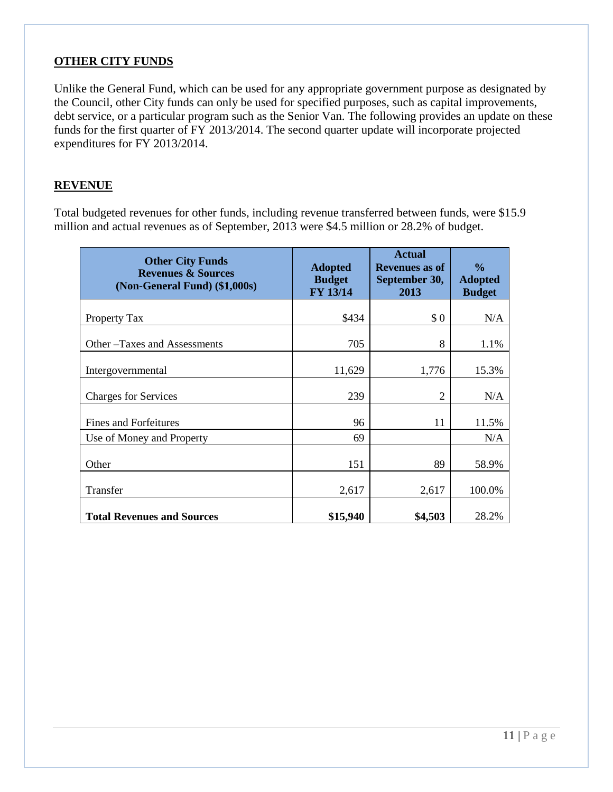### **OTHER CITY FUNDS**

Unlike the General Fund, which can be used for any appropriate government purpose as designated by the Council, other City funds can only be used for specified purposes, such as capital improvements, debt service, or a particular program such as the Senior Van. The following provides an update on these funds for the first quarter of FY 2013/2014. The second quarter update will incorporate projected expenditures for FY 2013/2014.

### **REVENUE**

Total budgeted revenues for other funds, including revenue transferred between funds, were \$15.9 million and actual revenues as of September, 2013 were \$4.5 million or 28.2% of budget.

| <b>Other City Funds</b><br><b>Revenues &amp; Sources</b><br>(Non-General Fund) (\$1,000s) | <b>Adopted</b><br><b>Budget</b><br>FY 13/14 | <b>Actual</b><br><b>Revenues</b> as of<br>September 30,<br>2013 | $\frac{6}{6}$<br><b>Adopted</b><br><b>Budget</b> |
|-------------------------------------------------------------------------------------------|---------------------------------------------|-----------------------------------------------------------------|--------------------------------------------------|
|                                                                                           |                                             |                                                                 |                                                  |
| Property Tax                                                                              | \$434                                       | \$0                                                             | N/A                                              |
| Other-Taxes and Assessments                                                               | 705                                         | 8                                                               | 1.1%                                             |
| Intergovernmental                                                                         | 11,629                                      | 1,776                                                           | 15.3%                                            |
| <b>Charges for Services</b>                                                               | 239                                         | 2                                                               | N/A                                              |
| Fines and Forfeitures                                                                     | 96                                          | 11                                                              | 11.5%                                            |
| Use of Money and Property                                                                 | 69                                          |                                                                 | N/A                                              |
| Other                                                                                     | 151                                         | 89                                                              | 58.9%                                            |
| Transfer                                                                                  | 2,617                                       | 2,617                                                           | 100.0%                                           |
| <b>Total Revenues and Sources</b>                                                         | \$15,940                                    | \$4,503                                                         | 28.2%                                            |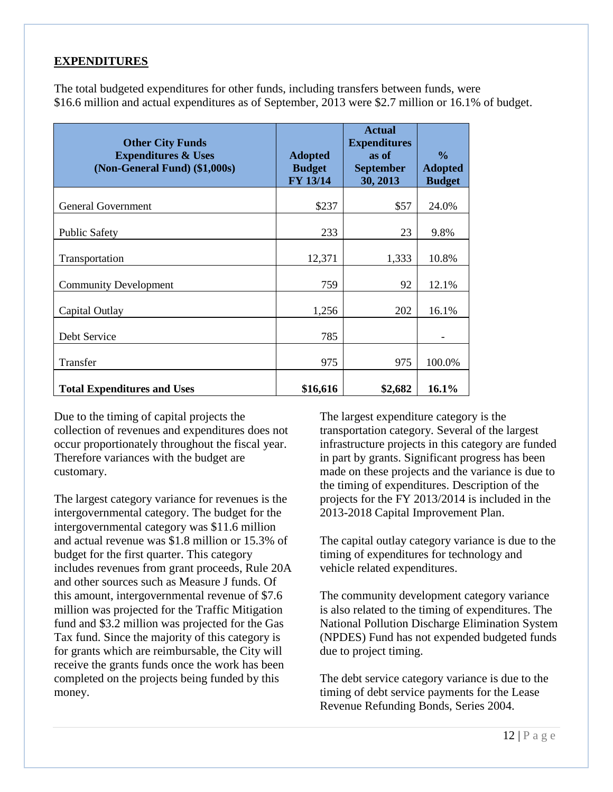### **EXPENDITURES**

The total budgeted expenditures for other funds, including transfers between funds, were \$16.6 million and actual expenditures as of September, 2013 were \$2.7 million or 16.1% of budget.

| <b>Other City Funds</b><br><b>Expenditures &amp; Uses</b><br>(Non-General Fund) (\$1,000s) | <b>Adopted</b><br><b>Budget</b><br>FY 13/14 | <b>Actual</b><br><b>Expenditures</b><br>as of<br><b>September</b><br>30, 2013 | $\frac{6}{6}$<br><b>Adopted</b><br><b>Budget</b> |
|--------------------------------------------------------------------------------------------|---------------------------------------------|-------------------------------------------------------------------------------|--------------------------------------------------|
| <b>General Government</b>                                                                  | \$237                                       | \$57                                                                          | 24.0%                                            |
| <b>Public Safety</b>                                                                       | 233                                         | 23                                                                            | 9.8%                                             |
| Transportation                                                                             | 12,371                                      | 1,333                                                                         | 10.8%                                            |
| <b>Community Development</b>                                                               | 759                                         | 92                                                                            | 12.1%                                            |
| Capital Outlay                                                                             | 1,256                                       | 202                                                                           | 16.1%                                            |
| Debt Service                                                                               | 785                                         |                                                                               |                                                  |
| Transfer                                                                                   | 975                                         | 975                                                                           | 100.0%                                           |
| <b>Total Expenditures and Uses</b>                                                         | \$16,616                                    | \$2,682                                                                       | 16.1%                                            |

Due to the timing of capital projects the collection of revenues and expenditures does not occur proportionately throughout the fiscal year. Therefore variances with the budget are customary.

The largest category variance for revenues is the intergovernmental category. The budget for the intergovernmental category was \$11.6 million and actual revenue was \$1.8 million or 15.3% of budget for the first quarter. This category includes revenues from grant proceeds, Rule 20A and other sources such as Measure J funds. Of this amount, intergovernmental revenue of \$7.6 million was projected for the Traffic Mitigation fund and \$3.2 million was projected for the Gas Tax fund. Since the majority of this category is for grants which are reimbursable, the City will receive the grants funds once the work has been completed on the projects being funded by this money.

The largest expenditure category is the transportation category. Several of the largest infrastructure projects in this category are funded in part by grants. Significant progress has been made on these projects and the variance is due to the timing of expenditures. Description of the projects for the FY 2013/2014 is included in the 2013-2018 Capital Improvement Plan.

The capital outlay category variance is due to the timing of expenditures for technology and vehicle related expenditures.

The community development category variance is also related to the timing of expenditures. The National Pollution Discharge Elimination System (NPDES) Fund has not expended budgeted funds due to project timing.

The debt service category variance is due to the timing of debt service payments for the Lease Revenue Refunding Bonds, Series 2004.